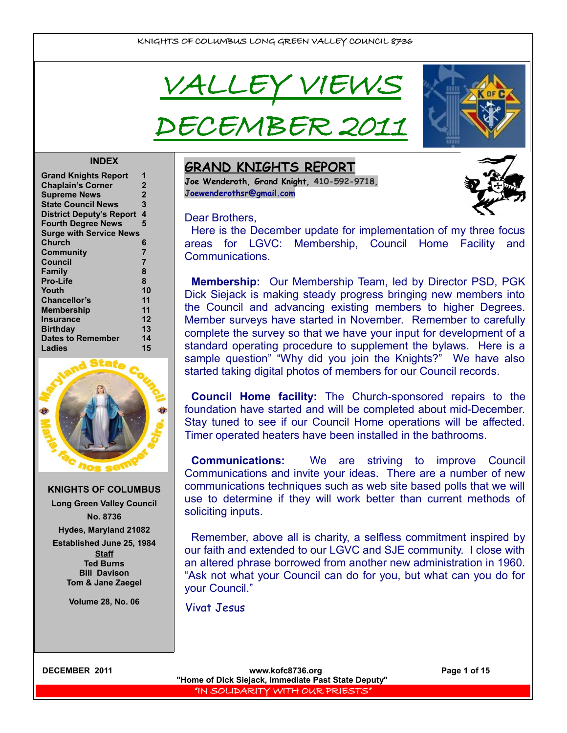





## **INDEX**

| <b>Grand Knights Report</b>     | 1              |
|---------------------------------|----------------|
| <b>Chaplain's Corner</b>        | $\mathbf 2$    |
| <b>Supreme News</b>             | $\overline{2}$ |
| <b>State Council News</b>       | 3              |
| <b>District Deputy's Report</b> | 4              |
| <b>Fourth Degree News</b>       | 5              |
| <b>Surge with Service News</b>  |                |
| Church                          | 6              |
| Community                       | $\overline{7}$ |
| Council                         | $\overline{7}$ |
| Family                          | 8              |
| <b>Pro-Life</b>                 | 8              |
| Youth                           | 10             |
| <b>Chancellor's</b>             | 11             |
| <b>Membership</b>               | 11             |
| Insurance                       | 12             |
| <b>Birthday</b>                 | 13             |
| <b>Dates to Remember</b>        | 14             |
| Ladies                          | 15             |
|                                 |                |



**KNIGHTS OF COLUMBUS Long Green Valley Council No. 8736 Hydes, Maryland 21082 Established June 25, 1984 Staff Ted Burns Bill Davison Tom & Jane Zaegel**

**Volume 28, No. 06**

# **GRAND KNIGHTS REPORT**

**Joe Wenderoth, Grand Knight, 410-592-9718, [Joewenderothsr@gmail.com](mailto:Joewenderothsr@gmail.com)**

## Dear Brothers

Here is the December update for implementation of my three focus areas for LGVC: Membership, Council Home Facility and Communications.

**Membership:** Our Membership Team, led by Director PSD, PGK Dick Siejack is making steady progress bringing new members into the Council and advancing existing members to higher Degrees. Member surveys have started in November. Remember to carefully complete the survey so that we have your input for development of a standard operating procedure to supplement the bylaws. Here is a sample question" "Why did you join the Knights?" We have also started taking digital photos of members for our Council records.

**Council Home facility:** The Church-sponsored repairs to the foundation have started and will be completed about mid-December. Stay tuned to see if our Council Home operations will be affected. Timer operated heaters have been installed in the bathrooms.

**Communications:** We are striving to improve Council Communications and invite your ideas. There are a number of new communications techniques such as web site based polls that we will use to determine if they will work better than current methods of soliciting inputs.

Remember, above all is charity, a selfless commitment inspired by our faith and extended to our LGVC and SJE community. I close with an altered phrase borrowed from another new administration in 1960. "Ask not what your Council can do for you, but what can you do for your Council."

Vivat Jesus

**DECEMBER 2011 WWW.kofc8736.org Page 1 of 15 "Home of Dick Siejack, Immediate Past State Deputy"**  "IN SOLIDARITY WITH OUR PRIESTS"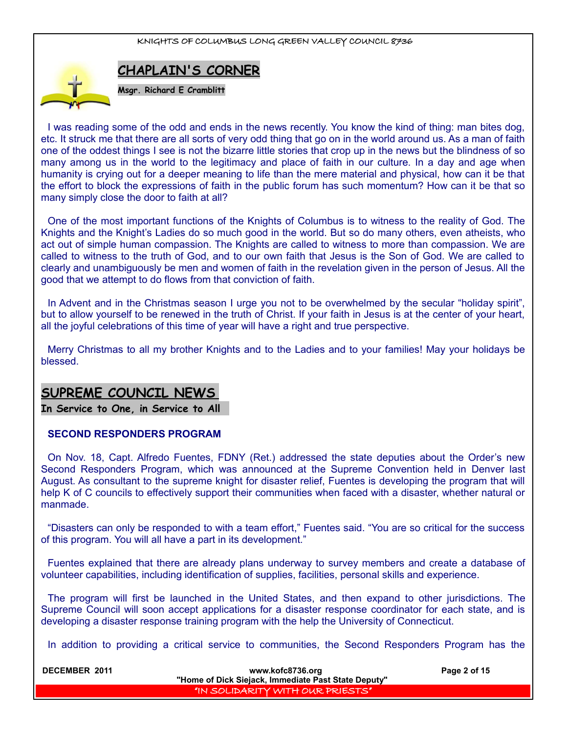

# **CHAPLAIN'S CORNER**

**Msgr. Richard E Cramblitt**

I was reading some of the odd and ends in the news recently. You know the kind of thing: man bites dog, etc. It struck me that there are all sorts of very odd thing that go on in the world around us. As a man of faith one of the oddest things I see is not the bizarre little stories that crop up in the news but the blindness of so many among us in the world to the legitimacy and place of faith in our culture. In a day and age when humanity is crying out for a deeper meaning to life than the mere material and physical, how can it be that the effort to block the expressions of faith in the public forum has such momentum? How can it be that so many simply close the door to faith at all?

One of the most important functions of the Knights of Columbus is to witness to the reality of God. The Knights and the Knight's Ladies do so much good in the world. But so do many others, even atheists, who act out of simple human compassion. The Knights are called to witness to more than compassion. We are called to witness to the truth of God, and to our own faith that Jesus is the Son of God. We are called to clearly and unambiguously be men and women of faith in the revelation given in the person of Jesus. All the good that we attempt to do flows from that conviction of faith.

In Advent and in the Christmas season I urge you not to be overwhelmed by the secular "holiday spirit", but to allow yourself to be renewed in the truth of Christ. If your faith in Jesus is at the center of your heart, all the joyful celebrations of this time of year will have a right and true perspective.

Merry Christmas to all my brother Knights and to the Ladies and to your families! May your holidays be blessed.

# **SUPREME COUNCIL NEWS**

**In Service to One, in Service to All** 

## **SECOND RESPONDERS PROGRAM**

On Nov. 18, Capt. Alfredo Fuentes, FDNY (Ret.) addressed the state deputies about the Order's new Second Responders Program, which was announced at the Supreme Convention held in Denver last August. As consultant to the supreme knight for disaster relief, Fuentes is developing the program that will help K of C councils to effectively support their communities when faced with a disaster, whether natural or manmade.

"Disasters can only be responded to with a team effort," Fuentes said. "You are so critical for the success of this program. You will all have a part in its development."

Fuentes explained that there are already plans underway to survey members and create a database of volunteer capabilities, including identification of supplies, facilities, personal skills and experience.

The program will first be launched in the United States, and then expand to other jurisdictions. The Supreme Council will soon accept applications for a disaster response coordinator for each state, and is developing a disaster response training program with the help the University of Connecticut.

In addition to providing a critical service to communities, the Second Responders Program has the

| <b>DECEMBER 2011</b><br>www.kofc8736.org<br>"Home of Dick Siejack, Immediate Past State Deputy" |                                      | Page 2 of 15 |
|-------------------------------------------------------------------------------------------------|--------------------------------------|--------------|
|                                                                                                 | I "IN SOLIDARITY WITH OUR PRIESTS" I |              |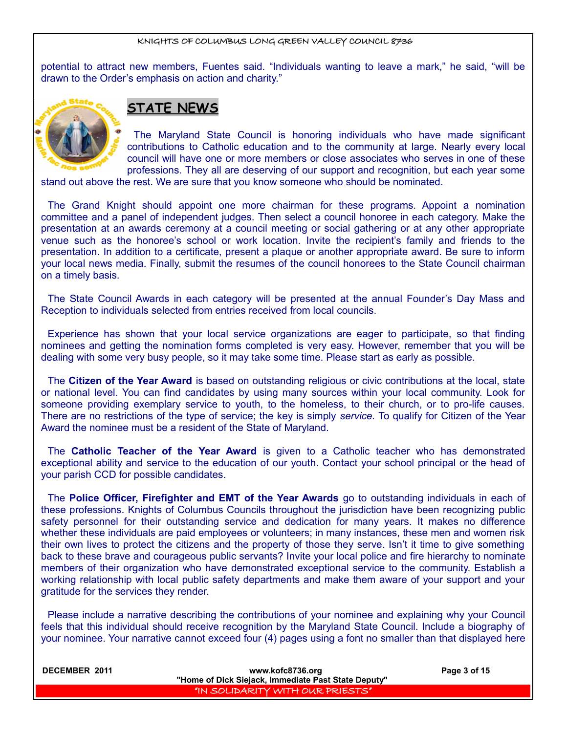potential to attract new members, Fuentes said. "Individuals wanting to leave a mark," he said, "will be drawn to the Order's emphasis on action and charity."



# **STATE NEWS**

The Maryland State Council is honoring individuals who have made significant contributions to Catholic education and to the community at large. Nearly every local council will have one or more members or close associates who serves in one of these professions. They all are deserving of our support and recognition, but each year some

stand out above the rest. We are sure that you know someone who should be nominated.

The Grand Knight should appoint one more chairman for these programs. Appoint a nomination committee and a panel of independent judges. Then select a council honoree in each category. Make the presentation at an awards ceremony at a council meeting or social gathering or at any other appropriate venue such as the honoree's school or work location. Invite the recipient's family and friends to the presentation. In addition to a certificate, present a plaque or another appropriate award. Be sure to inform your local news media. Finally, submit the resumes of the council honorees to the State Council chairman on a timely basis.

The State Council Awards in each category will be presented at the annual Founder's Day Mass and Reception to individuals selected from entries received from local councils.

Experience has shown that your local service organizations are eager to participate, so that finding nominees and getting the nomination forms completed is very easy. However, remember that you will be dealing with some very busy people, so it may take some time. Please start as early as possible.

The **Citizen of the Year Award** is based on outstanding religious or civic contributions at the local, state or national level. You can find candidates by using many sources within your local community. Look for someone providing exemplary service to youth, to the homeless, to their church, or to pro-life causes. There are no restrictions of the type of service; the key is simply *service.* To qualify for Citizen of the Year Award the nominee must be a resident of the State of Maryland.

The **Catholic Teacher of the Year Award** is given to a Catholic teacher who has demonstrated exceptional ability and service to the education of our youth. Contact your school principal or the head of your parish CCD for possible candidates.

The **Police Officer, Firefighter and EMT of the Year Awards** go to outstanding individuals in each of these professions. Knights of Columbus Councils throughout the jurisdiction have been recognizing public safety personnel for their outstanding service and dedication for many years. It makes no difference whether these individuals are paid employees or volunteers; in many instances, these men and women risk their own lives to protect the citizens and the property of those they serve. Isn't it time to give something back to these brave and courageous public servants? Invite your local police and fire hierarchy to nominate members of their organization who have demonstrated exceptional service to the community. Establish a working relationship with local public safety departments and make them aware of your support and your gratitude for the services they render.

Please include a narrative describing the contributions of your nominee and explaining why your Council feels that this individual should receive recognition by the Maryland State Council. Include a biography of your nominee. Your narrative cannot exceed four (4) pages using a font no smaller than that displayed here

| <b>DECEMBER 2011</b> | www.kofc8736.org<br>"Home of Dick Siejack, Immediate Past State Deputy" | Page 3 of 15 |
|----------------------|-------------------------------------------------------------------------|--------------|
|                      | I "IN SOLIDARITY WITH OUR PRIESTS" !                                    |              |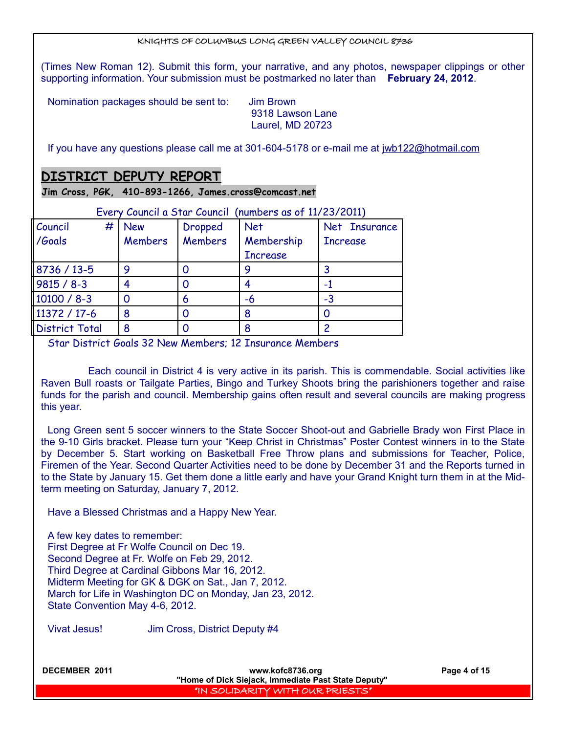(Times New Roman 12). Submit this form, your narrative, and any photos, newspaper clippings or other supporting information. Your submission must be postmarked no later than **February 24, 2012**.

Nomination packages should be sent to: Jim Brown

 9318 Lawson Lane Laurel, MD 20723

If you have any questions please call me at 301-604-5178 or e-mail me at [jwb122@hotmail.com](mailto:jwb122@hotmail.com)

# **DISTRICT DEPUTY REPORT**

**Jim Cross, PGK, 410-893-1266, James.cross@comcast.net**

| Every Council a Star Council (numbers as of 11/23/2011) |            |                |                 |                 |
|---------------------------------------------------------|------------|----------------|-----------------|-----------------|
| Council<br>#                                            | <b>New</b> | <b>Dropped</b> | <b>Net</b>      | Net Insurance   |
| /Goals                                                  | Members    | <b>Members</b> | Membership      | <b>Increase</b> |
|                                                         |            |                | <b>Increase</b> |                 |
| 8736 / 13-5                                             | 9          |                |                 |                 |
| $9815 / 8 - 3$                                          |            |                |                 |                 |
| 10100 / 8-3                                             |            | 6              | -6              | -3              |
| 11372 / 17-6                                            | 8          |                |                 |                 |
| <b>District Total</b>                                   | 8          |                |                 |                 |

Every Council a Star Council (numbers as of 11/23/2011)

Star District Goals 32 New Members; 12 Insurance Members

 Each council in District 4 is very active in its parish. This is commendable. Social activities like Raven Bull roasts or Tailgate Parties, Bingo and Turkey Shoots bring the parishioners together and raise funds for the parish and council. Membership gains often result and several councils are making progress this year.

Long Green sent 5 soccer winners to the State Soccer Shoot-out and Gabrielle Brady won First Place in the 9-10 Girls bracket. Please turn your "Keep Christ in Christmas" Poster Contest winners in to the State by December 5. Start working on Basketball Free Throw plans and submissions for Teacher, Police, Firemen of the Year. Second Quarter Activities need to be done by December 31 and the Reports turned in to the State by January 15. Get them done a little early and have your Grand Knight turn them in at the Midterm meeting on Saturday, January 7, 2012.

Have a Blessed Christmas and a Happy New Year.

A few key dates to remember: First Degree at Fr Wolfe Council on Dec 19. Second Degree at Fr. Wolfe on Feb 29, 2012. Third Degree at Cardinal Gibbons Mar 16, 2012. Midterm Meeting for GK & DGK on Sat., Jan 7, 2012. March for Life in Washington DC on Monday, Jan 23, 2012. State Convention May 4-6, 2012.

Vivat Jesus! Jim Cross, District Deputy #4

**DECEMBER 2011 WWW.kofc8736.org Page 4 of 15 "Home of Dick Siejack, Immediate Past State Deputy"**  "IN SOLIDARITY WITH OUR PRIESTS"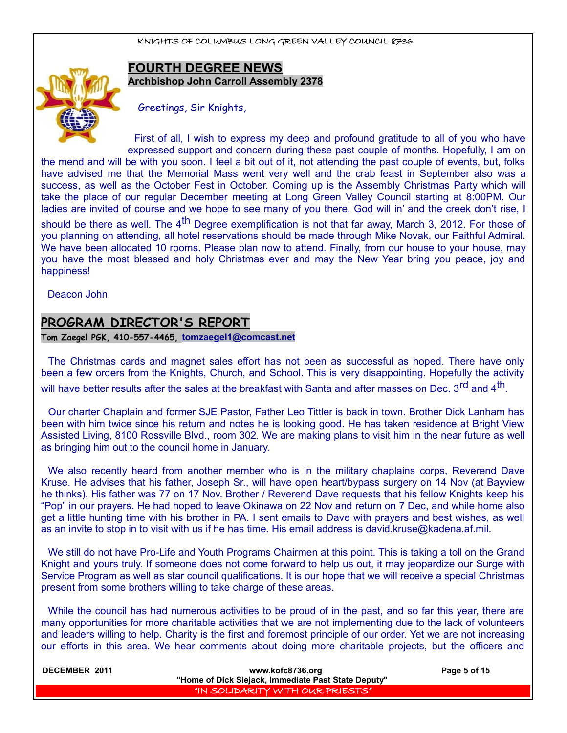

# **FOURTH DEGREE NEWS Archbishop John Carroll Assembly 2378**

Greetings, Sir Knights,

First of all, I wish to express my deep and profound gratitude to all of you who have expressed support and concern during these past couple of months. Hopefully, I am on the mend and will be with you soon. I feel a bit out of it, not attending the past couple of events, but, folks have advised me that the Memorial Mass went very well and the crab feast in September also was a success, as well as the October Fest in October. Coming up is the Assembly Christmas Party which will take the place of our regular December meeting at Long Green Valley Council starting at 8:00PM. Our ladies are invited of course and we hope to see many of you there. God will in' and the creek don't rise, I

should be there as well. The  $4<sup>th</sup>$  Degree exemplification is not that far away, March 3, 2012. For those of you planning on attending, all hotel reservations should be made through Mike Novak, our Faithful Admiral. We have been allocated 10 rooms. Please plan now to attend. Finally, from our house to your house, may you have the most blessed and holy Christmas ever and may the New Year bring you peace, joy and happiness!

Deacon John

# **PROGRAM DIRECTOR'S REPORT**

**Tom Zaegel PGK, 410-557-4465, [tomzaegel1@comcast.net](mailto:tomzaegel1@comcast.net)**

The Christmas cards and magnet sales effort has not been as successful as hoped. There have only been a few orders from the Knights, Church, and School. This is very disappointing. Hopefully the activity will have better results after the sales at the breakfast with Santa and after masses on Dec. 3<sup>rd</sup> and 4<sup>th</sup>.

Our charter Chaplain and former SJE Pastor, Father Leo Tittler is back in town. Brother Dick Lanham has been with him twice since his return and notes he is looking good. He has taken residence at Bright View Assisted Living, 8100 Rossville Blvd., room 302. We are making plans to visit him in the near future as well as bringing him out to the council home in January.

We also recently heard from another member who is in the military chaplains corps, Reverend Dave Kruse. He advises that his father, Joseph Sr., will have open heart/bypass surgery on 14 Nov (at Bayview he thinks). His father was 77 on 17 Nov. Brother / Reverend Dave requests that his fellow Knights keep his "Pop" in our prayers. He had hoped to leave Okinawa on 22 Nov and return on 7 Dec, and while home also get a little hunting time with his brother in PA. I sent emails to Dave with prayers and best wishes, as well as an invite to stop in to visit with us if he has time. His email address is david.kruse@kadena.af.mil.

We still do not have Pro-Life and Youth Programs Chairmen at this point. This is taking a toll on the Grand Knight and yours truly. If someone does not come forward to help us out, it may jeopardize our Surge with Service Program as well as star council qualifications. It is our hope that we will receive a special Christmas present from some brothers willing to take charge of these areas.

While the council has had numerous activities to be proud of in the past, and so far this year, there are many opportunities for more charitable activities that we are not implementing due to the lack of volunteers and leaders willing to help. Charity is the first and foremost principle of our order. Yet we are not increasing our efforts in this area. We hear comments about doing more charitable projects, but the officers and

| <b>DECEMBER 2011</b> | www.kofc8736.org                                    | Page 5 of 15 |
|----------------------|-----------------------------------------------------|--------------|
|                      | "Home of Dick Siejack, Immediate Past State Deputy" |              |
|                      | I "IN SOLIDARITY WITH OUR PRIESTS"                  |              |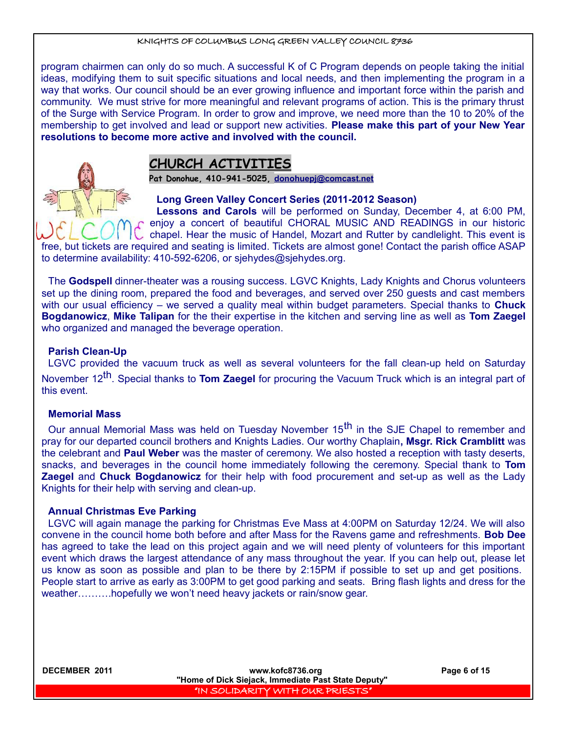program chairmen can only do so much. A successful K of C Program depends on people taking the initial ideas, modifying them to suit specific situations and local needs, and then implementing the program in a way that works. Our council should be an ever growing influence and important force within the parish and community. We must strive for more meaningful and relevant programs of action. This is the primary thrust of the Surge with Service Program. In order to grow and improve, we need more than the 10 to 20% of the membership to get involved and lead or support new activities. **Please make this part of your New Year resolutions to become more active and involved with the council.**



# **CHURCH ACTIVITIES**

**Pat Donohue, 410-941-5025, [donohuepj@comcast.net](mailto:donohuepj@comcast.net)**

**Long Green Valley Concert Series (2011-2012 Season)**

**Lessons and Carols** will be performed on Sunday, December 4, at 6:00 PM,  $\Gamma$  enjoy a concert of beautiful CHORAL MUSIC AND READINGS in our historic chapel. Hear the music of Handel, Mozart and Rutter by candlelight. This event is

free, but tickets are required and seating is limited. Tickets are almost gone! Contact the parish office ASAP to determine availability: 410-592-6206, or sjehydes@sjehydes.org.

The **Godspell** dinner-theater was a rousing success. LGVC Knights, Lady Knights and Chorus volunteers set up the dining room, prepared the food and beverages, and served over 250 guests and cast members with our usual efficiency – we served a quality meal within budget parameters. Special thanks to **Chuck Bogdanowicz**, **Mike Talipan** for the their expertise in the kitchen and serving line as well as **Tom Zaegel** who organized and managed the beverage operation.

## **Parish Clean-Up**

LGVC provided the vacuum truck as well as several volunteers for the fall clean-up held on Saturday November 12th. Special thanks to **Tom Zaegel** for procuring the Vacuum Truck which is an integral part of this event.

## **Memorial Mass**

Our annual Memorial Mass was held on Tuesday November 15<sup>th</sup> in the SJE Chapel to remember and pray for our departed council brothers and Knights Ladies. Our worthy Chaplain**, Msgr. Rick Cramblitt** was the celebrant and **Paul Weber** was the master of ceremony. We also hosted a reception with tasty deserts, snacks, and beverages in the council home immediately following the ceremony. Special thank to **Tom Zaegel** and **Chuck Bogdanowicz** for their help with food procurement and set-up as well as the Lady Knights for their help with serving and clean-up.

## **Annual Christmas Eve Parking**

LGVC will again manage the parking for Christmas Eve Mass at 4:00PM on Saturday 12/24. We will also convene in the council home both before and after Mass for the Ravens game and refreshments. **Bob Dee** has agreed to take the lead on this project again and we will need plenty of volunteers for this important event which draws the largest attendance of any mass throughout the year. If you can help out, please let us know as soon as possible and plan to be there by 2:15PM if possible to set up and get positions. People start to arrive as early as 3:00PM to get good parking and seats. Bring flash lights and dress for the weather……….hopefully we won't need heavy jackets or rain/snow gear.

**DECEMBER 2011 WWW.kofc8736.org Page 6 of 15 "Home of Dick Siejack, Immediate Past State Deputy"**  "IN SOLIDARITY WITH OUR PRIESTS"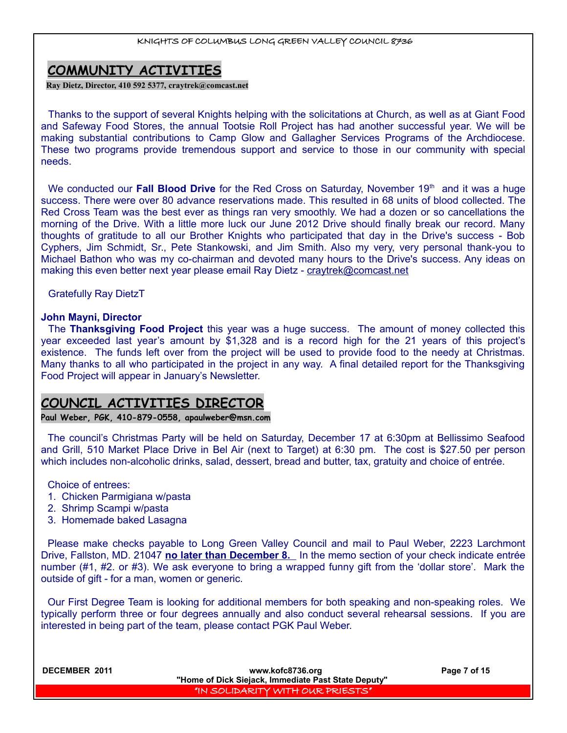# **COMMUNITY ACTIVITIES**

**Ray Dietz, Director, 410 592 5377, [craytrek@comcast.net](mailto:craytrek@comcast.net)**

Thanks to the support of several Knights helping with the solicitations at Church, as well as at Giant Food and Safeway Food Stores, the annual Tootsie Roll Project has had another successful year. We will be making substantial contributions to Camp Glow and Gallagher Services Programs of the Archdiocese. These two programs provide tremendous support and service to those in our community with special needs.

We conducted our **Fall Blood Drive** for the Red Cross on Saturday, November 19<sup>th</sup> and it was a huge success. There were over 80 advance reservations made. This resulted in 68 units of blood collected. The Red Cross Team was the best ever as things ran very smoothly. We had a dozen or so cancellations the morning of the Drive. With a little more luck our June 2012 Drive should finally break our record. Many thoughts of gratitude to all our Brother Knights who participated that day in the Drive's success - Bob Cyphers, Jim Schmidt, Sr., Pete Stankowski, and Jim Smith. Also my very, very personal thank-you to Michael Bathon who was my co-chairman and devoted many hours to the Drive's success. Any ideas on making this even better next year please email Ray Dietz - [craytrek@comcast.net](mailto:craytrek@comcast.net)

Gratefully Ray DietzT

## **John Mayni, Director**

The **Thanksgiving Food Project** this year was a huge success. The amount of money collected this year exceeded last year's amount by \$1,328 and is a record high for the 21 years of this project's existence. The funds left over from the project will be used to provide food to the needy at Christmas. Many thanks to all who participated in the project in any way. A final detailed report for the Thanksgiving Food Project will appear in January's Newsletter.

# **COUNCIL ACTIVITIES DIRECTOR**

**Paul Weber, PGK, 410-879-0558, apaulweber@msn.com**

The council's Christmas Party will be held on Saturday, December 17 at 6:30pm at Bellissimo Seafood and Grill, 510 Market Place Drive in Bel Air (next to Target) at 6:30 pm. The cost is \$27.50 per person which includes non-alcoholic drinks, salad, dessert, bread and butter, tax, gratuity and choice of entrée.

Choice of entrees:

- 1. Chicken Parmigiana w/pasta
- 2. Shrimp Scampi w/pasta
- 3. Homemade baked Lasagna

Please make checks payable to Long Green Valley Council and mail to Paul Weber, 2223 Larchmont Drive, Fallston, MD. 21047 **no later than December 8.** In the memo section of your check indicate entrée number (#1, #2. or #3). We ask everyone to bring a wrapped funny gift from the 'dollar store'. Mark the outside of gift - for a man, women or generic.

Our First Degree Team is looking for additional members for both speaking and non-speaking roles. We typically perform three or four degrees annually and also conduct several rehearsal sessions. If you are interested in being part of the team, please contact PGK Paul Weber.

| <b>DECEMBER 2011</b> | www.kofc8736.org<br>"Home of Dick Siejack, Immediate Past State Deputy" | Page 7 of 15 |
|----------------------|-------------------------------------------------------------------------|--------------|
|                      | I'IN SOLIDARITY WITH OUR PRIESTS"                                       |              |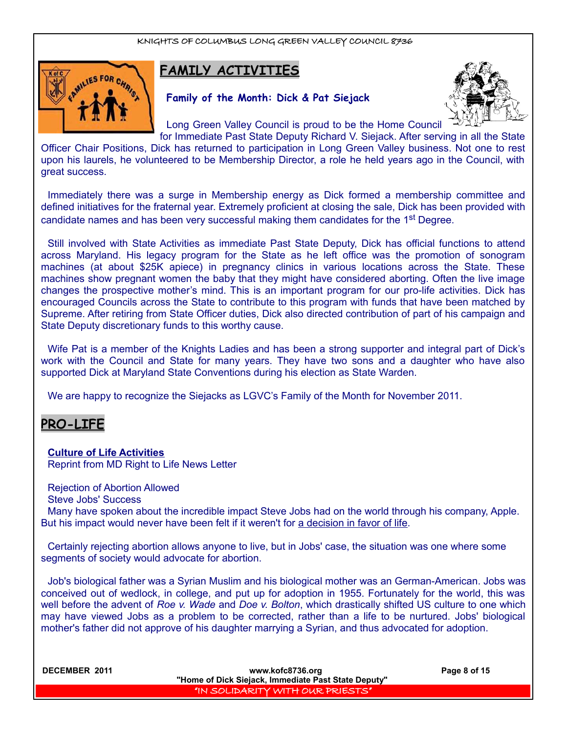

# **FAMILY ACTIVITIES**

# **Family of the Month: Dick & Pat Siejack**



Long Green Valley Council is proud to be the Home Council

for Immediate Past State Deputy Richard V. Siejack. After serving in all the State Officer Chair Positions, Dick has returned to participation in Long Green Valley business. Not one to rest upon his laurels, he volunteered to be Membership Director, a role he held years ago in the Council, with great success.

Immediately there was a surge in Membership energy as Dick formed a membership committee and defined initiatives for the fraternal year. Extremely proficient at closing the sale, Dick has been provided with candidate names and has been very successful making them candidates for the 1<sup>st</sup> Degree.

Still involved with State Activities as immediate Past State Deputy, Dick has official functions to attend across Maryland. His legacy program for the State as he left office was the promotion of sonogram machines (at about \$25K apiece) in pregnancy clinics in various locations across the State. These machines show pregnant women the baby that they might have considered aborting. Often the live image changes the prospective mother's mind. This is an important program for our pro-life activities. Dick has encouraged Councils across the State to contribute to this program with funds that have been matched by Supreme. After retiring from State Officer duties, Dick also directed contribution of part of his campaign and State Deputy discretionary funds to this worthy cause.

Wife Pat is a member of the Knights Ladies and has been a strong supporter and integral part of Dick's work with the Council and State for many years. They have two sons and a daughter who have also supported Dick at Maryland State Conventions during his election as State Warden.

We are happy to recognize the Siejacks as LGVC's Family of the Month for November 2011.

# **PRO-LIFE**

# **Culture of Life Activities**

Reprint from MD Right to Life News Letter

Rejection of Abortion Allowed

Steve Jobs' Success

Many have spoken about the incredible impact Steve Jobs had on the world through his company, Apple. But his impact would never have been felt if it weren't for a decision in favor of life.

Certainly rejecting abortion allows anyone to live, but in Jobs' case, the situation was one where some segments of society would advocate for abortion.

Job's biological father was a Syrian Muslim and his biological mother was an German-American. Jobs was conceived out of wedlock, in college, and put up for adoption in 1955. Fortunately for the world, this was well before the advent of *Roe v. Wade* and *Doe v. Bolton*, which drastically shifted US culture to one which may have viewed Jobs as a problem to be corrected, rather than a life to be nurtured. Jobs' biological mother's father did not approve of his daughter marrying a Syrian, and thus advocated for adoption.

| <b>DECEMBER 2011</b> | www.kofc8736.org<br>"Home of Dick Siejack, Immediate Past State Deputy" | Page 8 of 15 |
|----------------------|-------------------------------------------------------------------------|--------------|
|                      | "IN SOLIDARITY WITH OUR PRIESTS"                                        |              |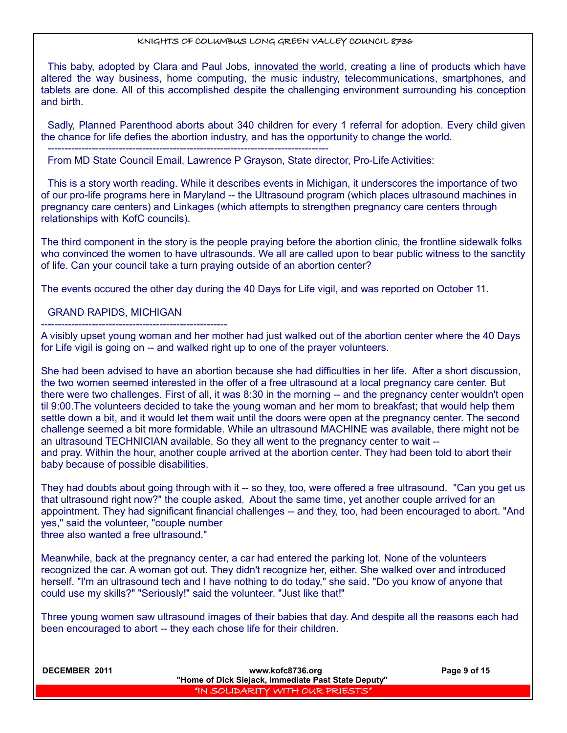This baby, adopted by Clara and Paul Jobs, innovated the world, creating a line of products which have altered the way business, home computing, the music industry, telecommunications, smartphones, and tablets are done. All of this accomplished despite the challenging environment surrounding his conception and birth.

Sadly, Planned Parenthood aborts about 340 children for every 1 referral for adoption. Every child given the chance for life defies the abortion industry, and has the opportunity to change the world.

From MD State Council Email, Lawrence P Grayson, State director, Pro-Life Activities:

-----------------------------------------------------------------------------------

This is a story worth reading. While it describes events in Michigan, it underscores the importance of two of our pro-life programs here in Maryland -- the Ultrasound program (which places ultrasound machines in pregnancy care centers) and Linkages (which attempts to strengthen pregnancy care centers through relationships with KofC councils).

The third component in the story is the people praying before the abortion clinic, the frontline sidewalk folks who convinced the women to have ultrasounds. We all are called upon to bear public witness to the sanctity of life. Can your council take a turn praying outside of an abortion center?

The events occured the other day during the 40 Days for Life vigil, and was reported on October 11.

## GRAND RAPIDS, MICHIGAN

------------------------------------------------------- A visibly upset young woman and her mother had just walked out of the abortion center where the 40 Days for Life vigil is going on -- and walked right up to one of the prayer volunteers.

She had been advised to have an abortion because she had difficulties in her life. After a short discussion, the two women seemed interested in the offer of a free ultrasound at a local pregnancy care center. But there were two challenges. First of all, it was 8:30 in the morning -- and the pregnancy center wouldn't open til 9:00.The volunteers decided to take the young woman and her mom to breakfast; that would help them settle down a bit, and it would let them wait until the doors were open at the pregnancy center. The second challenge seemed a bit more formidable. While an ultrasound MACHINE was available, there might not be an ultrasound TECHNICIAN available. So they all went to the pregnancy center to wait - and pray. Within the hour, another couple arrived at the abortion center. They had been told to abort their baby because of possible disabilities.

They had doubts about going through with it -- so they, too, were offered a free ultrasound. "Can you get us that ultrasound right now?" the couple asked. About the same time, yet another couple arrived for an appointment. They had significant financial challenges -- and they, too, had been encouraged to abort. "And yes," said the volunteer, "couple number three also wanted a free ultrasound."

Meanwhile, back at the pregnancy center, a car had entered the parking lot. None of the volunteers recognized the car. A woman got out. They didn't recognize her, either. She walked over and introduced herself. "I'm an ultrasound tech and I have nothing to do today," she said. "Do you know of anyone that could use my skills?" "Seriously!" said the volunteer. "Just like that!"

Three young women saw ultrasound images of their babies that day. And despite all the reasons each had been encouraged to abort -- they each chose life for their children.

| DECEMBER 2011 | www.kofc8736.org<br>"Home of Dick Siejack, Immediate Past State Deputy" | Page 9 of 15 |
|---------------|-------------------------------------------------------------------------|--------------|
|               | I'IN SOLIDARITY WITH OUR PRIESTS"                                       |              |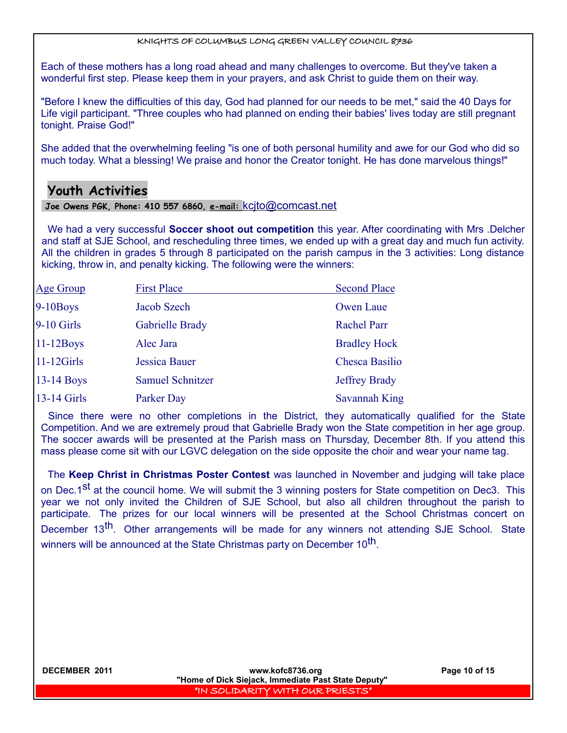Each of these mothers has a long road ahead and many challenges to overcome. But they've taken a wonderful first step. Please keep them in your prayers, and ask Christ to guide them on their way.

"Before I knew the difficulties of this day, God had planned for our needs to be met," said the 40 Days for Life vigil participant. "Three couples who had planned on ending their babies' lives today are still pregnant tonight. Praise God!"

She added that the overwhelming feeling "is one of both personal humility and awe for our God who did so much today. What a blessing! We praise and honor the Creator tonight. He has done marvelous things!"

# **Youth Activities**

## **Joe Owens PGK, Phone: 410 557 6860, e-mail:** [kcjto@comcast.net](mailto:kcjto@comcast.net)

We had a very successful **Soccer shoot out competition** this year. After coordinating with Mrs .Delcher and staff at SJE School, and rescheduling three times, we ended up with a great day and much fun activity. All the children in grades 5 through 8 participated on the parish campus in the 3 activities: Long distance kicking, throw in, and penalty kicking. The following were the winners:

| <b>Age Group</b> | <b>First Place</b>      | <b>Second Place</b>   |
|------------------|-------------------------|-----------------------|
| $9-10$ Boys      | Jacob Szech             | Owen Laue             |
| 9-10 Girls       | Gabrielle Brady         | <b>Rachel Parr</b>    |
| $11-12$ Boys     | Alec Jara               | <b>Bradley Hock</b>   |
| $11-12Girls$     | Jessica Bauer           | <b>Chesca Basilio</b> |
| $13-14$ Boys     | <b>Samuel Schnitzer</b> | <b>Jeffrey Brady</b>  |
| 13-14 Girls      | Parker Day              | <b>Savannah King</b>  |

Since there were no other completions in the District, they automatically qualified for the State Competition. And we are extremely proud that Gabrielle Brady won the State competition in her age group. The soccer awards will be presented at the Parish mass on Thursday, December 8th. If you attend this mass please come sit with our LGVC delegation on the side opposite the choir and wear your name tag.

The **Keep Christ in Christmas Poster Contest** was launched in November and judging will take place on Dec.1<sup>st</sup> at the council home. We will submit the 3 winning posters for State competition on Dec3. This year we not only invited the Children of SJE School, but also all children throughout the parish to participate. The prizes for our local winners will be presented at the School Christmas concert on December 13<sup>th</sup>. Other arrangements will be made for any winners not attending SJE School. State winners will be announced at the State Christmas party on December 10<sup>th</sup>.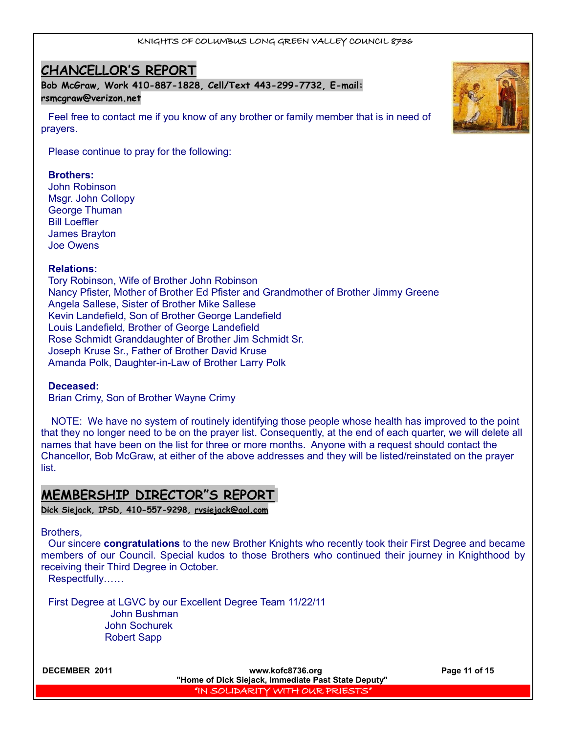# **CHANCELLOR'S REPORT**

**Bob McGraw, Work 410-887-1828, Cell/Text 443-299-7732, E-mail: [rsmcgraw@verizon.net](mailto:rsmcgraw@verizon.net)**

Feel free to contact me if you know of any brother or family member that is in need of prayers.

Please continue to pray for the following:

## **Brothers:**

John Robinson Msgr. John Collopy George Thuman Bill Loeffler James Brayton Joe Owens

## **Relations:**

Tory Robinson, Wife of Brother John Robinson Nancy Pfister, Mother of Brother Ed Pfister and Grandmother of Brother Jimmy Greene Angela Sallese, Sister of Brother Mike Sallese Kevin Landefield, Son of Brother George Landefield Louis Landefield, Brother of George Landefield Rose Schmidt Granddaughter of Brother Jim Schmidt Sr. Joseph Kruse Sr., Father of Brother David Kruse Amanda Polk, Daughter-in-Law of Brother Larry Polk

## **Deceased:**

Brian Crimy, Son of Brother Wayne Crimy

 NOTE: We have no system of routinely identifying those people whose health has improved to the point that they no longer need to be on the prayer list. Consequently, at the end of each quarter, we will delete all names that have been on the list for three or more months. Anyone with a request should contact the Chancellor, Bob McGraw, at either of the above addresses and they will be listed/reinstated on the prayer list.

# **MEMBERSHIP DIRECTOR"S REPORT**

**Dick Siejack, IPSD, 410-557-9298, [rvsiejack@aol.com](mailto:rvsiejack@aol.com)**

### Brothers,

Our sincere **congratulations** to the new Brother Knights who recently took their First Degree and became members of our Council. Special kudos to those Brothers who continued their journey in Knighthood by receiving their Third Degree in October.

Respectfully……

First Degree at LGVC by our Excellent Degree Team 11/22/11 John Bushman John Sochurek Robert Sapp



**DECEMBER 2011 www.kofc8736.org Page 11 of 15 "Home of Dick Siejack, Immediate Past State Deputy"**  "IN SOLIDARITY WITH OUR PRIESTS"

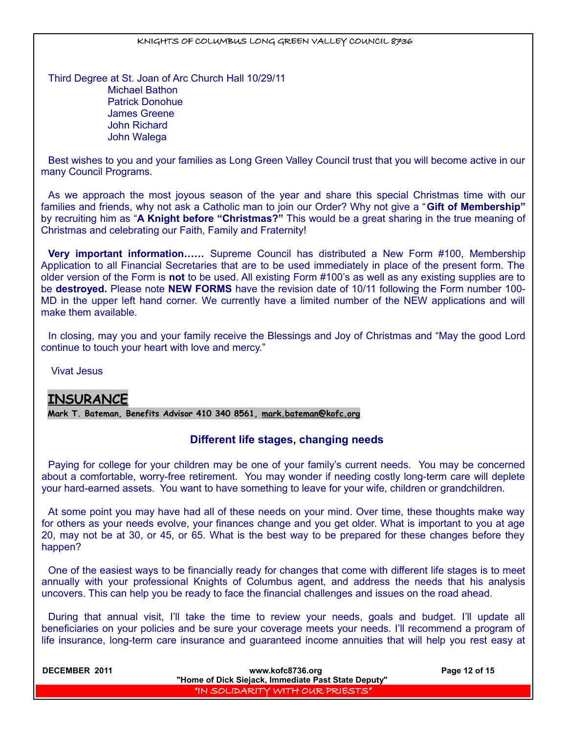Third Degree at St. Joan of Arc Church Hall 10/29/11 Michael Bathon Patrick Donohue James Greene John Richard John Walega

Best wishes to you and your families as Long Green Valley Council trust that you will become active in our many Council Programs.

As we approach the most joyous season of the year and share this special Christmas time with our families and friends, why not ask a Catholic man to join our Order? Why not give a "**Gift of Membership"** by recruiting him as "**A Knight before "Christmas?"** This would be a great sharing in the true meaning of Christmas and celebrating our Faith, Family and Fraternity!

**Very important information……** Supreme Council has distributed a New Form #100, Membership Application to all Financial Secretaries that are to be used immediately in place of the present form. The older version of the Form is **not** to be used. All existing Form #100's as well as any existing supplies are to be **destroyed.** Please note **NEW FORMS** have the revision date of 10/11 following the Form number 100- MD in the upper left hand corner. We currently have a limited number of the NEW applications and will make them available.

In closing, may you and your family receive the Blessings and Joy of Christmas and "May the good Lord continue to touch your heart with love and mercy."

Vivat Jesus

# **INSURANCE**

**Mark T. Bateman, Benefits Advisor 410 340 8561, [mark.bateman@kofc.org](mailto:mark.bateman@kofc.org)**

# **Different life stages, changing needs**

Paying for college for your children may be one of your family's current needs. You may be concerned about a comfortable, worry-free retirement. You may wonder if needing costly long-term care will deplete your hard-earned assets. You want to have something to leave for your wife, children or grandchildren.

At some point you may have had all of these needs on your mind. Over time, these thoughts make way for others as your needs evolve, your finances change and you get older. What is important to you at age 20, may not be at 30, or 45, or 65. What is the best way to be prepared for these changes before they happen?

One of the easiest ways to be financially ready for changes that come with different life stages is to meet annually with your professional Knights of Columbus agent, and address the needs that his analysis uncovers. This can help you be ready to face the financial challenges and issues on the road ahead.

During that annual visit, I'll take the time to review your needs, goals and budget. I'll update all beneficiaries on your policies and be sure your coverage meets your needs. I'll recommend a program of life insurance, long-term care insurance and guaranteed income annuities that will help you rest easy at

| <b>DECEMBER 2011</b> | www.kofc8736.org<br>"Home of Dick Siejack, Immediate Past State Deputy" | Page 12 of 15 |
|----------------------|-------------------------------------------------------------------------|---------------|
|                      | I "IN SOLIDARITY WITH OUR PRIESTS"                                      |               |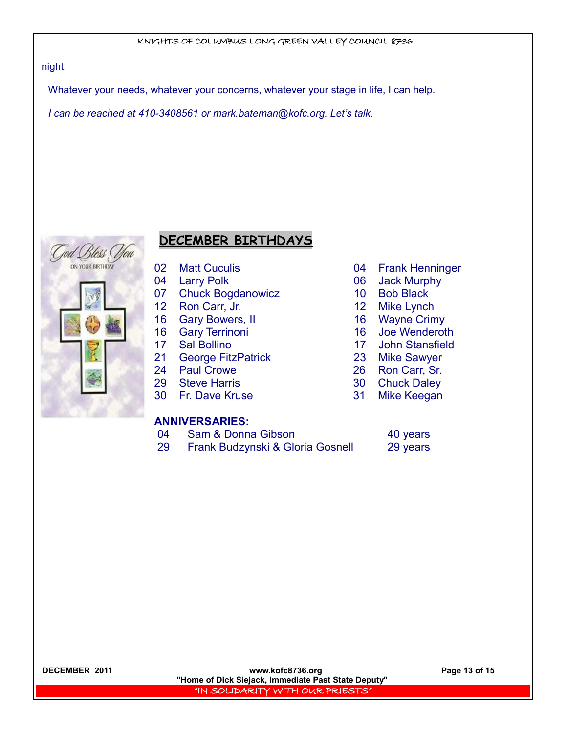## night.

Whatever your needs, whatever your concerns, whatever your stage in life, I can help.

*I can be reached at 410-3408561 or [mark.bateman@kofc.org.](mailto:mark.bateman@kofc.org) Let's talk.* 



# **DECEMBER BIRTHDAYS**

- 
- 
- 07 Chuck Bogdanowicz 10 Bob Black
- 12 Ron Carr, Jr. 12 Mike Lynch
- 16 Gary Bowers, II 16 Wayne Crimy
- 16 Gary Terrinoni 16 Joe Wenderoth
- 17 Sal Bollino 17 John Stansfield
- 21 George FitzPatrick 23 Mike Sawyer
- 24 Paul Crowe 26 Ron Carr, Sr.
- 29 Steve Harris 30 Chuck Daley
- 30 Fr. Dave Kruse 31 Mike Keegan

# **ANNIVERSARIES:**

- 04 Sam & Donna Gibson 40 years
- 29 Frank Budzynski & Gloria Gosnell 29 years
- 02 Matt Cuculis **04 Frank Henninger**
- 04 Larry Polk 06 Jack Murphy
	-
	-
	-
	-
	-
	-
	-
	-
	- -

**DECEMBER 2011 www.kofc8736.org Page 13 of 15 "Home of Dick Siejack, Immediate Past State Deputy"**  "IN SOLIDARITY WITH OUR PRIESTS"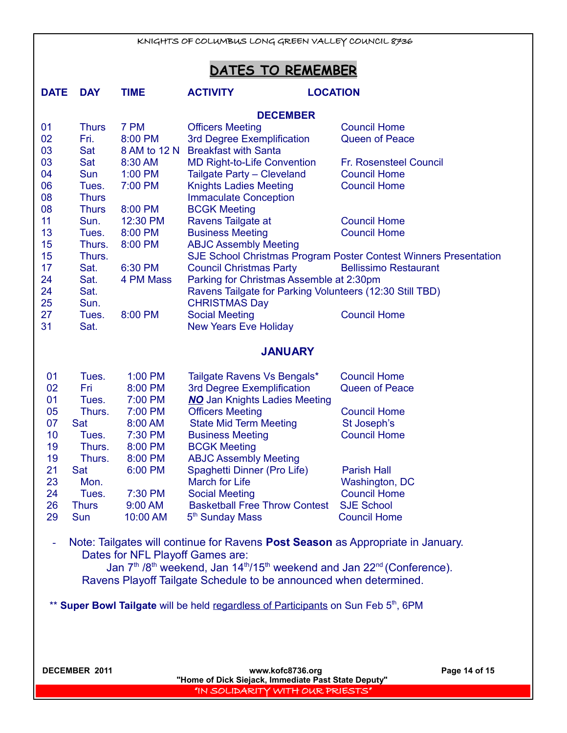| KNIGHTS OF COLUMBUS LONG GREEN VALLEY COUNCIL 8736 |                                                                                    |                                  |                                                                                                                                     |                                                                                                  |  |
|----------------------------------------------------|------------------------------------------------------------------------------------|----------------------------------|-------------------------------------------------------------------------------------------------------------------------------------|--------------------------------------------------------------------------------------------------|--|
|                                                    |                                                                                    |                                  |                                                                                                                                     |                                                                                                  |  |
|                                                    |                                                                                    |                                  | DATES TO REMEMBER                                                                                                                   |                                                                                                  |  |
| <b>DATE</b>                                        | <b>DAY</b>                                                                         | <b>TIME</b>                      | <b>ACTIVITY</b><br><b>LOCATION</b>                                                                                                  |                                                                                                  |  |
|                                                    |                                                                                    |                                  | <b>DECEMBER</b>                                                                                                                     |                                                                                                  |  |
| 01                                                 | <b>Thurs</b>                                                                       | 7 PM                             | <b>Officers Meeting</b>                                                                                                             | <b>Council Home</b>                                                                              |  |
| 02                                                 | Fri.                                                                               | 8:00 PM                          | 3rd Degree Exemplification                                                                                                          | <b>Queen of Peace</b>                                                                            |  |
| 03                                                 | Sat                                                                                | 8 AM to 12 N                     | <b>Breakfast with Santa</b>                                                                                                         |                                                                                                  |  |
| 03                                                 | Sat                                                                                | 8:30 AM                          | <b>MD Right-to-Life Convention</b>                                                                                                  | Fr. Rosensteel Council                                                                           |  |
| 04                                                 | Sun                                                                                | $1:00$ PM                        | Tailgate Party - Cleveland                                                                                                          | <b>Council Home</b>                                                                              |  |
| 06                                                 | Tues.                                                                              | 7:00 PM                          | <b>Knights Ladies Meeting</b>                                                                                                       | <b>Council Home</b>                                                                              |  |
| 08                                                 | <b>Thurs</b>                                                                       |                                  | <b>Immaculate Conception</b>                                                                                                        |                                                                                                  |  |
| 08                                                 | <b>Thurs</b>                                                                       | 8:00 PM                          | <b>BCGK Meeting</b>                                                                                                                 |                                                                                                  |  |
| 11                                                 | Sun.                                                                               | 12:30 PM                         | Ravens Tailgate at                                                                                                                  | <b>Council Home</b>                                                                              |  |
| 13                                                 | Tues.                                                                              | 8:00 PM                          | <b>Business Meeting</b>                                                                                                             | <b>Council Home</b>                                                                              |  |
| 15                                                 | Thurs.                                                                             | 8:00 PM                          | <b>ABJC Assembly Meeting</b>                                                                                                        |                                                                                                  |  |
| 15<br>17                                           | Thurs.                                                                             |                                  |                                                                                                                                     | SJE School Christmas Program Poster Contest Winners Presentation<br><b>Bellissimo Restaurant</b> |  |
| 24                                                 | Sat.<br>Sat.                                                                       | 6:30 PM<br>4 PM Mass             | <b>Council Christmas Party</b>                                                                                                      |                                                                                                  |  |
| 24                                                 | Sat.                                                                               |                                  | Parking for Christmas Assemble at 2:30pm<br>Ravens Tailgate for Parking Volunteers (12:30 Still TBD)                                |                                                                                                  |  |
| 25                                                 | Sun.                                                                               |                                  | <b>CHRISTMAS Day</b>                                                                                                                |                                                                                                  |  |
| 27                                                 | Tues.                                                                              | 8:00 PM                          | <b>Social Meeting</b>                                                                                                               | <b>Council Home</b>                                                                              |  |
| 31                                                 | Sat.                                                                               |                                  | <b>New Years Eve Holiday</b>                                                                                                        |                                                                                                  |  |
|                                                    |                                                                                    |                                  |                                                                                                                                     |                                                                                                  |  |
|                                                    |                                                                                    |                                  | <b>JANUARY</b>                                                                                                                      |                                                                                                  |  |
| 01                                                 | Tues.                                                                              | 1:00 PM                          | Tailgate Ravens Vs Bengals*                                                                                                         | <b>Council Home</b>                                                                              |  |
| 02                                                 | Fri                                                                                | 8:00 PM                          | 3rd Degree Exemplification                                                                                                          | <b>Queen of Peace</b>                                                                            |  |
| 01                                                 | Tues.                                                                              | 7:00 PM                          | <b>NO</b> Jan Knights Ladies Meeting                                                                                                |                                                                                                  |  |
| 05                                                 | Thurs.                                                                             | 7:00 PM                          | <b>Officers Meeting</b>                                                                                                             | <b>Council Home</b>                                                                              |  |
| 07                                                 | Sat                                                                                | 8:00 AM                          | <b>State Mid Term Meeting</b>                                                                                                       | St Joseph's                                                                                      |  |
| 10                                                 | Tues.                                                                              | 7:30 PM                          | <b>Business Meeting</b>                                                                                                             | <b>Council Home</b>                                                                              |  |
| 19                                                 | Thurs.                                                                             | 8:00 PM                          | <b>BCGK Meeting</b>                                                                                                                 |                                                                                                  |  |
| 19                                                 | Thurs.                                                                             | 8:00 PM                          | <b>ABJC Assembly Meeting</b>                                                                                                        |                                                                                                  |  |
| 21                                                 | Sat                                                                                | 6:00 PM                          | Spaghetti Dinner (Pro Life)                                                                                                         | <b>Parish Hall</b>                                                                               |  |
| 23                                                 | Mon.                                                                               |                                  | <b>March for Life</b>                                                                                                               | Washington, DC                                                                                   |  |
| 24<br>26                                           | Tues.<br><b>Thurs</b>                                                              | 7:30 PM<br>9:00 AM               | <b>Social Meeting</b><br><b>Basketball Free Throw Contest</b>                                                                       | <b>Council Home</b><br><b>SJE School</b>                                                         |  |
| 29                                                 | Sun                                                                                | 10:00 AM                         | 5 <sup>th</sup> Sunday Mass                                                                                                         | <b>Council Home</b>                                                                              |  |
|                                                    |                                                                                    |                                  |                                                                                                                                     |                                                                                                  |  |
| ۰                                                  |                                                                                    |                                  | Note: Tailgates will continue for Ravens Post Season as Appropriate in January.                                                     |                                                                                                  |  |
|                                                    |                                                                                    | Dates for NFL Playoff Games are: |                                                                                                                                     |                                                                                                  |  |
|                                                    |                                                                                    |                                  | Jan 7 <sup>th</sup> /8 <sup>th</sup> weekend, Jan 14 <sup>th</sup> /15 <sup>th</sup> weekend and Jan 22 <sup>nd</sup> (Conference). |                                                                                                  |  |
|                                                    |                                                                                    |                                  | Ravens Playoff Tailgate Schedule to be announced when determined.                                                                   |                                                                                                  |  |
|                                                    |                                                                                    |                                  |                                                                                                                                     |                                                                                                  |  |
|                                                    | ** Super Bowl Tailgate will be held regardless of Participants on Sun Feb 5th, 6PM |                                  |                                                                                                                                     |                                                                                                  |  |

**DECEMBER 2011 www.kofc8736.org Page 14 of 15 "Home of Dick Siejack, Immediate Past State Deputy"**  "IN SOLIDARITY WITH OUR PRIESTS"